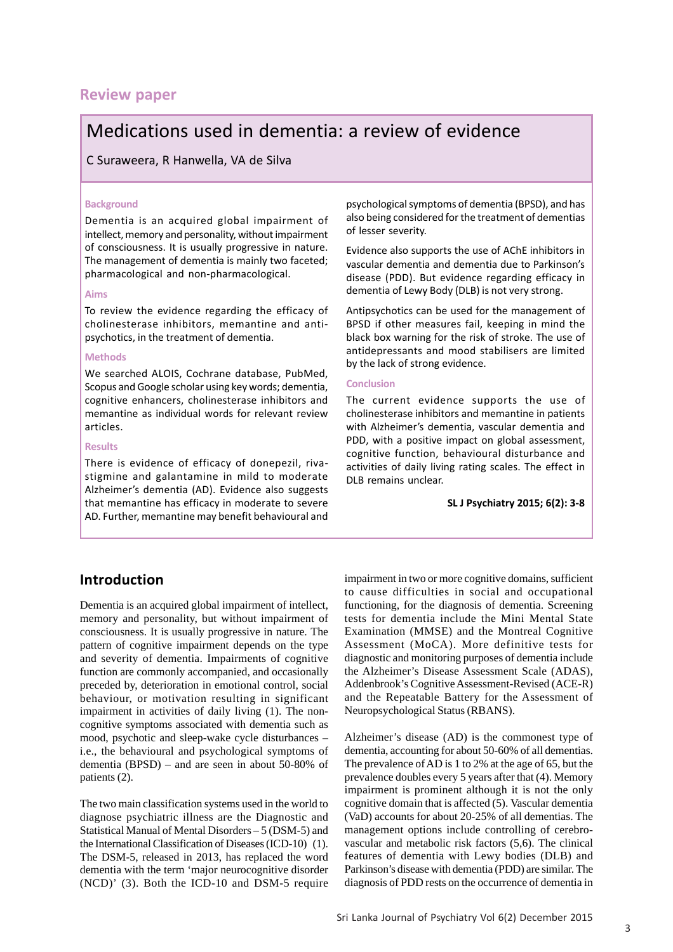## **Review paper**

# Medications used in dementia: a review of evidence

C Suraweera, R Hanwella, VA de Silva

#### **Background**

Dementia is an acquired global impairment of intellect, memory and personality, without impairment of consciousness. It is usually progressive in nature. The management of dementia is mainly two faceted; pharmacological and non-pharmacological.

#### **Aims**

To review the evidence regarding the efficacy of cholinesterase inhibitors, memantine and antipsychotics, in the treatment of dementia.

#### **Methods**

We searched ALOIS, Cochrane database, PubMed, Scopus and Google scholar using key words; dementia, cognitive enhancers, cholinesterase inhibitors and memantine as individual words for relevant review articles.

#### **Results**

There is evidence of efficacy of donepezil, rivastigmine and galantamine in mild to moderate Alzheimer's dementia (AD). Evidence also suggests that memantine has efficacy in moderate to severe AD. Further, memantine may benefit behavioural and psychological symptoms of dementia (BPSD), and has also being considered for the treatment of dementias of lesser severity.

Evidence also supports the use of AChE inhibitors in vascular dementia and dementia due to Parkinson's disease (PDD). But evidence regarding efficacy in dementia of Lewy Body (DLB) is not very strong.

Antipsychotics can be used for the management of BPSD if other measures fail, keeping in mind the black box warning for the risk of stroke. The use of antidepressants and mood stabilisers are limited by the lack of strong evidence.

#### **Conclusion**

The current evidence supports the use of cholinesterase inhibitors and memantine in patients with Alzheimer's dementia, vascular dementia and PDD, with a positive impact on global assessment, cognitive function, behavioural disturbance and activities of daily living rating scales. The effect in DLB remains unclear.

**SL J Psychiatry 2015; 6(2): 3-8**

## **Introduction**

Dementia is an acquired global impairment of intellect, memory and personality, but without impairment of consciousness. It is usually progressive in nature. The pattern of cognitive impairment depends on the type and severity of dementia. Impairments of cognitive function are commonly accompanied, and occasionally preceded by, deterioration in emotional control, social behaviour, or motivation resulting in significant impairment in activities of daily living (1). The noncognitive symptoms associated with dementia such as mood, psychotic and sleep-wake cycle disturbances – i.e., the behavioural and psychological symptoms of dementia (BPSD) – and are seen in about 50-80% of patients (2).

The two main classification systems used in the world to diagnose psychiatric illness are the Diagnostic and Statistical Manual of Mental Disorders – 5 (DSM-5) and the International Classification of Diseases (ICD-10) (1). The DSM-5, released in 2013, has replaced the word dementia with the term 'major neurocognitive disorder (NCD)' (3). Both the ICD-10 and DSM-5 require impairment in two or more cognitive domains, sufficient to cause difficulties in social and occupational functioning, for the diagnosis of dementia. Screening tests for dementia include the Mini Mental State Examination (MMSE) and the Montreal Cognitive Assessment (MoCA). More definitive tests for diagnostic and monitoring purposes of dementia include the Alzheimer's Disease Assessment Scale (ADAS), Addenbrook's Cognitive Assessment-Revised (ACE-R) and the Repeatable Battery for the Assessment of Neuropsychological Status (RBANS).

Alzheimer's disease (AD) is the commonest type of dementia, accounting for about 50-60% of all dementias. The prevalence of AD is 1 to 2% at the age of 65, but the prevalence doubles every 5 years after that (4). Memory impairment is prominent although it is not the only cognitive domain that is affected (5). Vascular dementia (VaD) accounts for about 20-25% of all dementias. The management options include controlling of cerebrovascular and metabolic risk factors (5,6). The clinical features of dementia with Lewy bodies (DLB) and Parkinson's disease with dementia (PDD) are similar. The diagnosis of PDD rests on the occurrence of dementia in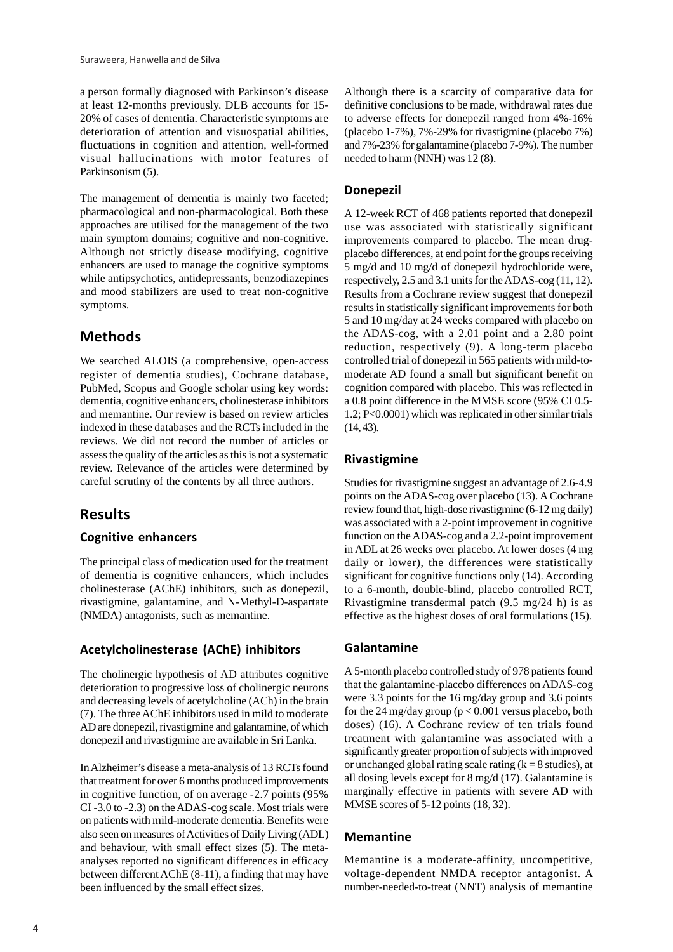a person formally diagnosed with Parkinson's disease at least 12-months previously. DLB accounts for 15- 20% of cases of dementia. Characteristic symptoms are deterioration of attention and visuospatial abilities, fluctuations in cognition and attention, well-formed visual hallucinations with motor features of Parkinsonism (5).

The management of dementia is mainly two faceted; pharmacological and non-pharmacological. Both these approaches are utilised for the management of the two main symptom domains; cognitive and non-cognitive. Although not strictly disease modifying, cognitive enhancers are used to manage the cognitive symptoms while antipsychotics, antidepressants, benzodiazepines and mood stabilizers are used to treat non-cognitive symptoms.

## **Methods**

We searched ALOIS (a comprehensive, open-access register of dementia studies), Cochrane database, PubMed, Scopus and Google scholar using key words: dementia, cognitive enhancers, cholinesterase inhibitors and memantine. Our review is based on review articles indexed in these databases and the RCTs included in the reviews. We did not record the number of articles or assess the quality of the articles as this is not a systematic review. Relevance of the articles were determined by careful scrutiny of the contents by all three authors.

## **Results**

#### **Cognitive enhancers**

The principal class of medication used for the treatment of dementia is cognitive enhancers, which includes cholinesterase (AChE) inhibitors, such as donepezil, rivastigmine, galantamine, and N-Methyl-D-aspartate (NMDA) antagonists, such as memantine.

#### **Acetylcholinesterase (AChE) inhibitors**

The cholinergic hypothesis of AD attributes cognitive deterioration to progressive loss of cholinergic neurons and decreasing levels of acetylcholine (ACh) in the brain (7). The three AChE inhibitors used in mild to moderate AD are donepezil, rivastigmine and galantamine, of which donepezil and rivastigmine are available in Sri Lanka.

In Alzheimer's disease a meta-analysis of 13 RCTs found that treatment for over 6 months produced improvements in cognitive function, of on average -2.7 points (95% CI -3.0 to -2.3) on the ADAS-cog scale. Most trials were on patients with mild-moderate dementia. Benefits were also seen on measures of Activities of Daily Living (ADL) and behaviour, with small effect sizes (5). The metaanalyses reported no significant differences in efficacy between different AChE (8-11), a finding that may have been influenced by the small effect sizes.

Although there is a scarcity of comparative data for definitive conclusions to be made, withdrawal rates due to adverse effects for donepezil ranged from 4%-16% (placebo 1-7%), 7%-29% for rivastigmine (placebo 7%) and 7%-23% for galantamine (placebo 7-9%). The number needed to harm (NNH) was 12 (8).

### **Donepezil**

A 12-week RCT of 468 patients reported that donepezil use was associated with statistically significant improvements compared to placebo. The mean drugplacebo differences, at end point for the groups receiving 5 mg/d and 10 mg/d of donepezil hydrochloride were, respectively, 2.5 and 3.1 units for the ADAS-cog (11, 12). Results from a Cochrane review suggest that donepezil results in statistically significant improvements for both 5 and 10 mg/day at 24 weeks compared with placebo on the ADAS-cog, with a 2.01 point and a 2.80 point reduction, respectively (9). A long-term placebo controlled trial of donepezil in 565 patients with mild-tomoderate AD found a small but significant benefit on cognition compared with placebo. This was reflected in a 0.8 point difference in the MMSE score (95% CI 0.5- 1.2; P<0.0001) which was replicated in other similar trials  $(14, 43)$ .

#### **Rivastigmine**

Studies for rivastigmine suggest an advantage of 2.6-4.9 points on the ADAS-cog over placebo (13). A Cochrane review found that, high-dose rivastigmine (6-12 mg daily) was associated with a 2-point improvement in cognitive function on the ADAS-cog and a 2.2-point improvement in ADL at 26 weeks over placebo. At lower doses (4 mg daily or lower), the differences were statistically significant for cognitive functions only (14). According to a 6-month, double-blind, placebo controlled RCT, Rivastigmine transdermal patch (9.5 mg/24 h) is as effective as the highest doses of oral formulations (15).

#### **Galantamine**

A 5-month placebo controlled study of 978 patients found that the galantamine-placebo differences on ADAS-cog were 3.3 points for the 16 mg/day group and 3.6 points for the 24 mg/day group ( $p < 0.001$  versus placebo, both doses) (16). A Cochrane review of ten trials found treatment with galantamine was associated with a significantly greater proportion of subjects with improved or unchanged global rating scale rating  $(k = 8$  studies), at all dosing levels except for 8 mg/d (17). Galantamine is marginally effective in patients with severe AD with MMSE scores of 5-12 points (18, 32).

#### **Memantine**

Memantine is a moderate-affinity, uncompetitive, voltage-dependent NMDA receptor antagonist. A number-needed-to-treat (NNT) analysis of memantine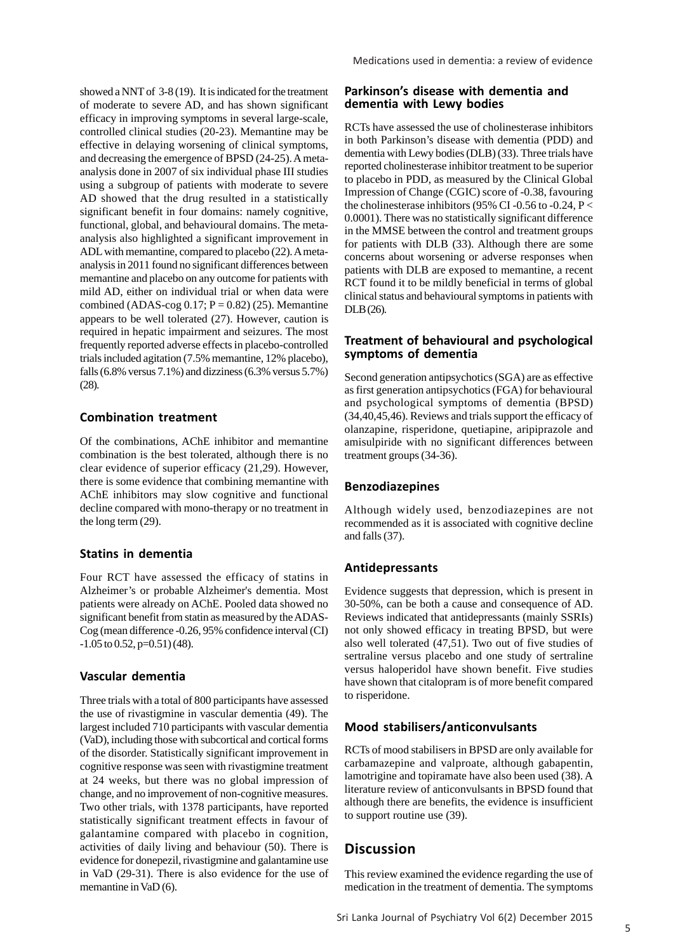showed a NNT of 3-8 (19). It is indicated for the treatment of moderate to severe AD, and has shown significant efficacy in improving symptoms in several large-scale, controlled clinical studies (20-23). Memantine may be effective in delaying worsening of clinical symptoms, and decreasing the emergence of BPSD (24-25). A metaanalysis done in 2007 of six individual phase III studies using a subgroup of patients with moderate to severe AD showed that the drug resulted in a statistically significant benefit in four domains: namely cognitive, functional, global, and behavioural domains. The metaanalysis also highlighted a significant improvement in ADL with memantine, compared to placebo (22). A metaanalysis in 2011 found no significant differences between memantine and placebo on any outcome for patients with mild AD, either on individual trial or when data were combined (ADAS-cog  $0.17$ ; P = 0.82) (25). Memantine appears to be well tolerated (27). However, caution is required in hepatic impairment and seizures. The most frequently reported adverse effects in placebo-controlled trials included agitation (7.5% memantine, 12% placebo), falls (6.8% versus 7.1%) and dizziness (6.3% versus 5.7%) (28).

#### **Combination treatment**

Of the combinations, AChE inhibitor and memantine combination is the best tolerated, although there is no clear evidence of superior efficacy (21,29). However, there is some evidence that combining memantine with AChE inhibitors may slow cognitive and functional decline compared with mono-therapy or no treatment in the long term (29).

### **Statins in dementia**

Four RCT have assessed the efficacy of statins in Alzheimer's or probable Alzheimer's dementia. Most patients were already on AChE. Pooled data showed no significant benefit from statin as measured by the ADAS-Cog (mean difference -0.26, 95% confidence interval (CI)  $-1.05$  to 0.52, p=0.51) (48).

#### **Vascular dementia**

Three trials with a total of 800 participants have assessed the use of rivastigmine in vascular dementia (49). The largest included 710 participants with vascular dementia (VaD), including those with subcortical and cortical forms of the disorder. Statistically significant improvement in cognitive response was seen with rivastigmine treatment at 24 weeks, but there was no global impression of change, and no improvement of non-cognitive measures. Two other trials, with 1378 participants, have reported statistically significant treatment effects in favour of galantamine compared with placebo in cognition, activities of daily living and behaviour (50). There is evidence for donepezil, rivastigmine and galantamine use in VaD (29-31). There is also evidence for the use of memantine in VaD (6).

#### **Parkinson's disease with dementia and dementia with Lewy bodies**

RCTs have assessed the use of cholinesterase inhibitors in both Parkinson's disease with dementia (PDD) and dementia with Lewy bodies (DLB) (33). Three trials have reported cholinesterase inhibitor treatment to be superior to placebo in PDD, as measured by the Clinical Global Impression of Change (CGIC) score of -0.38, favouring the cholinesterase inhibitors (95% CI-0.56 to -0.24, P < 0.0001). There was no statistically significant difference in the MMSE between the control and treatment groups for patients with DLB (33). Although there are some concerns about worsening or adverse responses when patients with DLB are exposed to memantine, a recent RCT found it to be mildly beneficial in terms of global clinical status and behavioural symptoms in patients with DLB (26).

#### **Treatment of behavioural and psychological symptoms of dementia**

Second generation antipsychotics (SGA) are as effective as first generation antipsychotics (FGA) for behavioural and psychological symptoms of dementia (BPSD) (34,40,45,46). Reviews and trials support the efficacy of olanzapine, risperidone, quetiapine, aripiprazole and amisulpiride with no significant differences between treatment groups (34-36).

#### **Benzodiazepines**

Although widely used, benzodiazepines are not recommended as it is associated with cognitive decline and falls (37).

### **Antidepressants**

Evidence suggests that depression, which is present in 30-50%, can be both a cause and consequence of AD. Reviews indicated that antidepressants (mainly SSRIs) not only showed efficacy in treating BPSD, but were also well tolerated (47,51). Two out of five studies of sertraline versus placebo and one study of sertraline versus haloperidol have shown benefit. Five studies have shown that citalopram is of more benefit compared to risperidone.

### **Mood stabilisers/anticonvulsants**

RCTs of mood stabilisers in BPSD are only available for carbamazepine and valproate, although gabapentin, lamotrigine and topiramate have also been used (38). A literature review of anticonvulsants in BPSD found that although there are benefits, the evidence is insufficient to support routine use (39).

## **Discussion**

This review examined the evidence regarding the use of medication in the treatment of dementia. The symptoms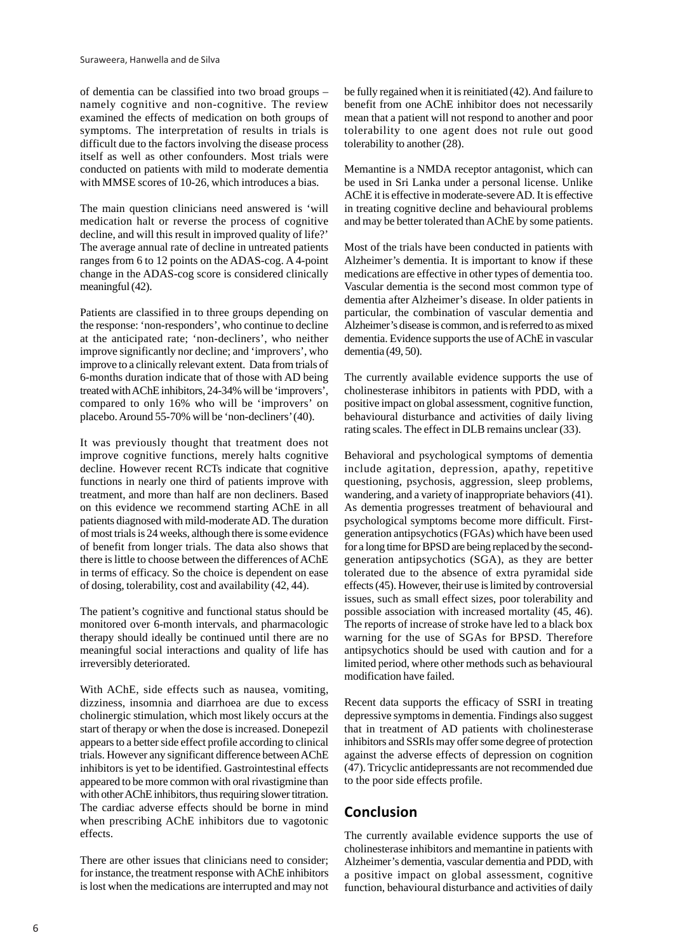of dementia can be classified into two broad groups – namely cognitive and non-cognitive. The review examined the effects of medication on both groups of symptoms. The interpretation of results in trials is difficult due to the factors involving the disease process itself as well as other confounders. Most trials were conducted on patients with mild to moderate dementia with MMSE scores of 10-26, which introduces a bias.

The main question clinicians need answered is 'will medication halt or reverse the process of cognitive decline, and will this result in improved quality of life?' The average annual rate of decline in untreated patients ranges from 6 to 12 points on the ADAS-cog. A 4-point change in the ADAS-cog score is considered clinically meaningful (42).

Patients are classified in to three groups depending on the response: 'non-responders', who continue to decline at the anticipated rate; 'non-decliners', who neither improve significantly nor decline; and 'improvers', who improve to a clinically relevant extent. Data from trials of 6-months duration indicate that of those with AD being treated with AChE inhibitors, 24-34% will be 'improvers', compared to only 16% who will be 'improvers' on placebo. Around 55-70% will be 'non-decliners' (40).

It was previously thought that treatment does not improve cognitive functions, merely halts cognitive decline. However recent RCTs indicate that cognitive functions in nearly one third of patients improve with treatment, and more than half are non decliners. Based on this evidence we recommend starting AChE in all patients diagnosed with mild-moderate AD. The duration of most trials is 24 weeks, although there is some evidence of benefit from longer trials. The data also shows that there is little to choose between the differences of AChE in terms of efficacy. So the choice is dependent on ease of dosing, tolerability, cost and availability (42, 44).

The patient's cognitive and functional status should be monitored over 6-month intervals, and pharmacologic therapy should ideally be continued until there are no meaningful social interactions and quality of life has irreversibly deteriorated.

With AChE, side effects such as nausea, vomiting, dizziness, insomnia and diarrhoea are due to excess cholinergic stimulation, which most likely occurs at the start of therapy or when the dose is increased. Donepezil appears to a better side effect profile according to clinical trials. However any significant difference between AChE inhibitors is yet to be identified. Gastrointestinal effects appeared to be more common with oral rivastigmine than with other AChE inhibitors, thus requiring slower titration. The cardiac adverse effects should be borne in mind when prescribing AChE inhibitors due to vagotonic effects.

There are other issues that clinicians need to consider; for instance, the treatment response with AChE inhibitors is lost when the medications are interrupted and may not be fully regained when it is reinitiated (42). And failure to benefit from one AChE inhibitor does not necessarily mean that a patient will not respond to another and poor tolerability to one agent does not rule out good tolerability to another (28).

Memantine is a NMDA receptor antagonist, which can be used in Sri Lanka under a personal license. Unlike AChE it is effective in moderate-severe AD. It is effective in treating cognitive decline and behavioural problems and may be better tolerated than AChE by some patients.

Most of the trials have been conducted in patients with Alzheimer's dementia. It is important to know if these medications are effective in other types of dementia too. Vascular dementia is the second most common type of dementia after Alzheimer's disease. In older patients in particular, the combination of vascular dementia and Alzheimer's disease is common, and is referred to as mixed dementia. Evidence supports the use of AChE in vascular dementia (49, 50).

The currently available evidence supports the use of cholinesterase inhibitors in patients with PDD, with a positive impact on global assessment, cognitive function, behavioural disturbance and activities of daily living rating scales. The effect in DLB remains unclear (33).

Behavioral and psychological symptoms of dementia include agitation, depression, apathy, repetitive questioning, psychosis, aggression, sleep problems, wandering, and a variety of inappropriate behaviors (41). As dementia progresses treatment of behavioural and psychological symptoms become more difficult. Firstgeneration antipsychotics (FGAs) which have been used for a long time for BPSD are being replaced by the secondgeneration antipsychotics (SGA), as they are better tolerated due to the absence of extra pyramidal side effects (45). However, their use is limited by controversial issues, such as small effect sizes, poor tolerability and possible association with increased mortality (45, 46). The reports of increase of stroke have led to a black box warning for the use of SGAs for BPSD. Therefore antipsychotics should be used with caution and for a limited period, where other methods such as behavioural modification have failed.

Recent data supports the efficacy of SSRI in treating depressive symptoms in dementia. Findings also suggest that in treatment of AD patients with cholinesterase inhibitors and SSRIs may offer some degree of protection against the adverse effects of depression on cognition (47). Tricyclic antidepressants are not recommended due to the poor side effects profile.

## **Conclusion**

The currently available evidence supports the use of cholinesterase inhibitors and memantine in patients with Alzheimer's dementia, vascular dementia and PDD, with a positive impact on global assessment, cognitive function, behavioural disturbance and activities of daily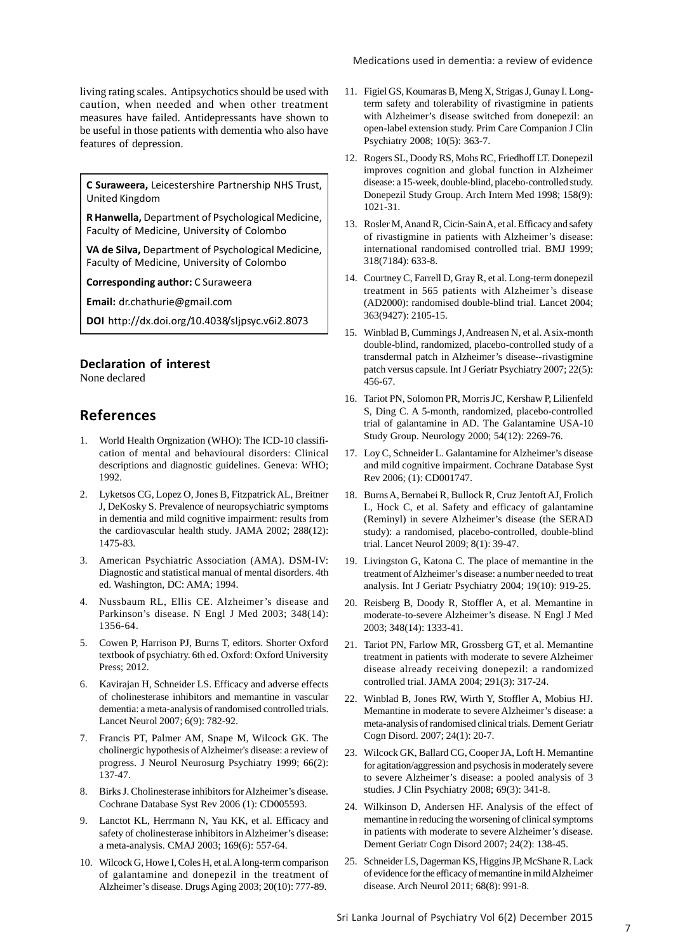living rating scales. Antipsychotics should be used with caution, when needed and when other treatment measures have failed. Antidepressants have shown to be useful in those patients with dementia who also have features of depression.

**C Suraweera,** Leicestershire Partnership NHS Trust, United Kingdom

**R Hanwella,** Department of Psychological Medicine, Faculty of Medicine, University of Colombo

**VA de Silva,** Department of Psychological Medicine, Faculty of Medicine, University of Colombo

**Corresponding author:** C Suraweera

**Email:** dr.chathurie@gmail.com

**DOI** http://dx.doi.org/10.4038/sljpsyc.v6i2.8073

#### **Declaration of interest**

None declared

## **References**

- 1. World Health Orgnization (WHO): The ICD-10 classification of mental and behavioural disorders: Clinical descriptions and diagnostic guidelines. Geneva: WHO; 1992.
- 2. Lyketsos CG, Lopez O, Jones B, Fitzpatrick AL, Breitner J, DeKosky S. Prevalence of neuropsychiatric symptoms in dementia and mild cognitive impairment: results from the cardiovascular health study. JAMA 2002; 288(12): 1475-83.
- 3. American Psychiatric Association (AMA). DSM-IV: Diagnostic and statistical manual of mental disorders. 4th ed. Washington, DC: AMA; 1994.
- 4. Nussbaum RL, Ellis CE. Alzheimer's disease and Parkinson's disease. N Engl J Med 2003; 348(14): 1356-64.
- 5. Cowen P, Harrison PJ, Burns T, editors. Shorter Oxford textbook of psychiatry. 6th ed. Oxford: Oxford University Press; 2012.
- 6. Kavirajan H, Schneider LS. Efficacy and adverse effects of cholinesterase inhibitors and memantine in vascular dementia: a meta-analysis of randomised controlled trials. Lancet Neurol 2007; 6(9): 782-92.
- 7. Francis PT, Palmer AM, Snape M, Wilcock GK. The cholinergic hypothesis of Alzheimer's disease: a review of progress. J Neurol Neurosurg Psychiatry 1999; 66(2): 137-47.
- 8. Birks J. Cholinesterase inhibitors for Alzheimer's disease. Cochrane Database Syst Rev 2006 (1): CD005593.
- 9. Lanctot KL, Herrmann N, Yau KK, et al. Efficacy and safety of cholinesterase inhibitors in Alzheimer's disease: a meta-analysis. CMAJ 2003; 169(6): 557-64.
- 10. Wilcock G, Howe I, Coles H, et al. A long-term comparison of galantamine and donepezil in the treatment of Alzheimer's disease. Drugs Aging 2003; 20(10): 777-89.
- 11. Figiel GS, Koumaras B, Meng X, Strigas J, Gunay I. Longterm safety and tolerability of rivastigmine in patients with Alzheimer's disease switched from donepezil: an open-label extension study. Prim Care Companion J Clin Psychiatry 2008; 10(5): 363-7.
- 12. Rogers SL, Doody RS, Mohs RC, Friedhoff LT. Donepezil improves cognition and global function in Alzheimer disease: a 15-week, double-blind, placebo-controlled study. Donepezil Study Group. Arch Intern Med 1998; 158(9): 1021-31.
- 13. Rosler M, Anand R, Cicin-Sain A, et al. Efficacy and safety of rivastigmine in patients with Alzheimer's disease: international randomised controlled trial. BMJ 1999; 318(7184): 633-8.
- 14. Courtney C, Farrell D, Gray R, et al. Long-term donepezil treatment in 565 patients with Alzheimer's disease (AD2000): randomised double-blind trial. Lancet 2004; 363(9427): 2105-15.
- 15. Winblad B, Cummings J, Andreasen N, et al. A six-month double-blind, randomized, placebo-controlled study of a transdermal patch in Alzheimer's disease--rivastigmine patch versus capsule. Int J Geriatr Psychiatry 2007; 22(5): 456-67.
- 16. Tariot PN, Solomon PR, Morris JC, Kershaw P, Lilienfeld S, Ding C. A 5-month, randomized, placebo-controlled trial of galantamine in AD. The Galantamine USA-10 Study Group. Neurology 2000; 54(12): 2269-76.
- 17. Loy C, Schneider L. Galantamine for Alzheimer's disease and mild cognitive impairment. Cochrane Database Syst Rev 2006; (1): CD001747.
- 18. Burns A, Bernabei R, Bullock R, Cruz Jentoft AJ, Frolich L, Hock C, et al. Safety and efficacy of galantamine (Reminyl) in severe Alzheimer's disease (the SERAD study): a randomised, placebo-controlled, double-blind trial. Lancet Neurol 2009; 8(1): 39-47.
- 19. Livingston G, Katona C. The place of memantine in the treatment of Alzheimer's disease: a number needed to treat analysis. Int J Geriatr Psychiatry 2004; 19(10): 919-25.
- 20. Reisberg B, Doody R, Stoffler A, et al. Memantine in moderate-to-severe Alzheimer's disease. N Engl J Med 2003; 348(14): 1333-41.
- 21. Tariot PN, Farlow MR, Grossberg GT, et al. Memantine treatment in patients with moderate to severe Alzheimer disease already receiving donepezil: a randomized controlled trial. JAMA 2004; 291(3): 317-24.
- 22. Winblad B, Jones RW, Wirth Y, Stoffler A, Mobius HJ. Memantine in moderate to severe Alzheimer's disease: a meta-analysis of randomised clinical trials. Dement Geriatr Cogn Disord. 2007; 24(1): 20-7.
- 23. Wilcock GK, Ballard CG, Cooper JA, Loft H. Memantine for agitation/aggression and psychosis in moderately severe to severe Alzheimer's disease: a pooled analysis of 3 studies. J Clin Psychiatry 2008; 69(3): 341-8.
- 24. Wilkinson D, Andersen HF. Analysis of the effect of memantine in reducing the worsening of clinical symptoms in patients with moderate to severe Alzheimer's disease. Dement Geriatr Cogn Disord 2007; 24(2): 138-45.
- 25. Schneider LS, Dagerman KS, Higgins JP, McShane R. Lack of evidence for the efficacy of memantine in mild Alzheimer disease. Arch Neurol 2011; 68(8): 991-8.